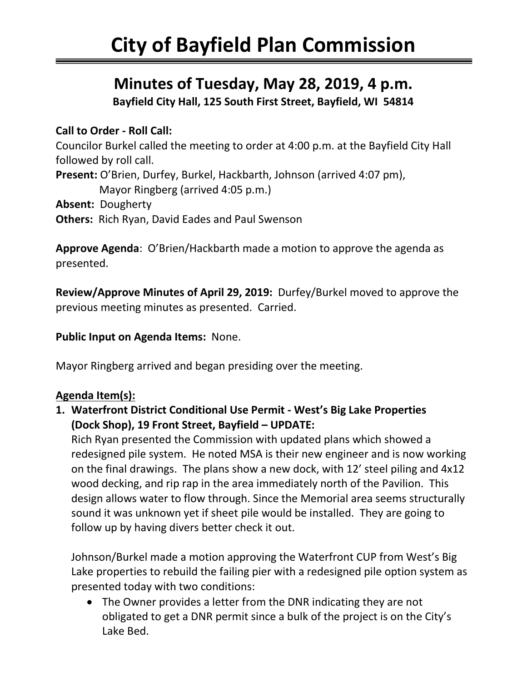# **Minutes of Tuesday, May 28, 2019, 4 p.m.**

**Bayfield City Hall, 125 South First Street, Bayfield, WI 54814**

## **Call to Order - Roll Call:**

Councilor Burkel called the meeting to order at 4:00 p.m. at the Bayfield City Hall followed by roll call. **Present:** O'Brien, Durfey, Burkel, Hackbarth, Johnson (arrived 4:07 pm), Mayor Ringberg (arrived 4:05 p.m.) **Absent:** Dougherty

**Others:** Rich Ryan, David Eades and Paul Swenson

**Approve Agenda**: O'Brien/Hackbarth made a motion to approve the agenda as presented.

**Review/Approve Minutes of April 29, 2019:** Durfey/Burkel moved to approve the previous meeting minutes as presented. Carried.

#### **Public Input on Agenda Items:** None.

Mayor Ringberg arrived and began presiding over the meeting.

### **Agenda Item(s):**

**1. Waterfront District Conditional Use Permit - West's Big Lake Properties (Dock Shop), 19 Front Street, Bayfield – UPDATE:**

Rich Ryan presented the Commission with updated plans which showed a redesigned pile system. He noted MSA is their new engineer and is now working on the final drawings. The plans show a new dock, with 12' steel piling and 4x12 wood decking, and rip rap in the area immediately north of the Pavilion. This design allows water to flow through. Since the Memorial area seems structurally sound it was unknown yet if sheet pile would be installed. They are going to follow up by having divers better check it out.

Johnson/Burkel made a motion approving the Waterfront CUP from West's Big Lake properties to rebuild the failing pier with a redesigned pile option system as presented today with two conditions:

• The Owner provides a letter from the DNR indicating they are not obligated to get a DNR permit since a bulk of the project is on the City's Lake Bed.